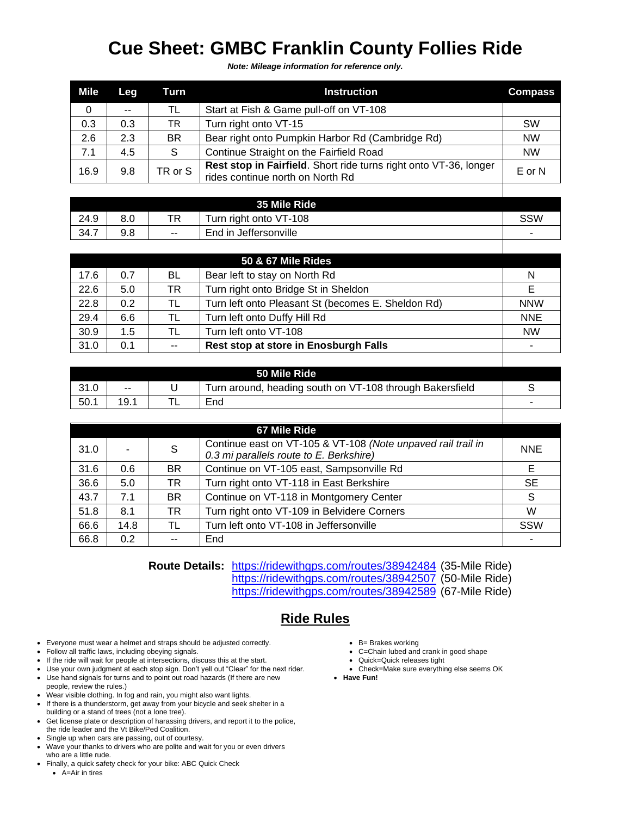## **Cue Sheet: GMBC Franklin County Follies Ride**

*Note: Mileage information for reference only.*

| Mile | Leg | Turn      | <b>Instruction</b>                                                                                    | <b>Compass</b> |
|------|-----|-----------|-------------------------------------------------------------------------------------------------------|----------------|
| 0    | $-$ | TL        | Start at Fish & Game pull-off on VT-108                                                               |                |
| 0.3  | 0.3 | <b>TR</b> | Turn right onto VT-15                                                                                 | <b>SW</b>      |
| 2.6  | 2.3 | <b>BR</b> | Bear right onto Pumpkin Harbor Rd (Cambridge Rd)                                                      | <b>NW</b>      |
| 7.1  | 4.5 | S.        | Continue Straight on the Fairfield Road                                                               | <b>NW</b>      |
| 16.9 | 9.8 | TR or S   | Rest stop in Fairfield. Short ride turns right onto VT-36, longer<br>rides continue north on North Rd | $E$ or N       |

| 35 Mile Ride |     |     |                          |                          |
|--------------|-----|-----|--------------------------|--------------------------|
| 24.9         | 8.0 | TR  | Turn right onto VT-108   | SSW                      |
| 34.7         | 9.8 | $-$ | Jeffersonville<br>End in | $\overline{\phantom{a}}$ |

| 50 & 67 Mile Rides |     |       |                                                    |            |
|--------------------|-----|-------|----------------------------------------------------|------------|
| 17.6               | 0.7 | BL    | Bear left to stay on North Rd                      | N          |
| 22.6               | 5.0 | TR    | Turn right onto Bridge St in Sheldon               |            |
| 22.8               | 0.2 | TL    | Turn left onto Pleasant St (becomes E. Sheldon Rd) | <b>NNW</b> |
| 29.4               | 6.6 | TL    | Turn left onto Duffy Hill Rd                       | <b>NNE</b> |
| 30.9               | 1.5 | TL    | Turn left onto VT-108                              | <b>NW</b>  |
| 31.0               | 0.1 | $- -$ | Rest stop at store in Enosburgh Falls              |            |

|      |                          | 50 Mile Ride                                             |   |
|------|--------------------------|----------------------------------------------------------|---|
| 31.0 | $\overline{\phantom{a}}$ | Turn around, heading south on VT-108 through Bakersfield |   |
| 50.1 | 19.1                     | End                                                      | - |
|      |                          |                                                          |   |

| 67 Mile Ride |      |           |                                                                                                         |            |
|--------------|------|-----------|---------------------------------------------------------------------------------------------------------|------------|
| 31.0         |      | S         | Continue east on VT-105 & VT-108 (Note unpaved rail trail in<br>0.3 mi parallels route to E. Berkshire) | <b>NNE</b> |
| 31.6         | 0.6  | <b>BR</b> | Continue on VT-105 east, Sampsonville Rd                                                                | E          |
| 36.6         | 5.0  | TR.       | Turn right onto VT-118 in East Berkshire                                                                | <b>SE</b>  |
| 43.7         | 7.1  | <b>BR</b> | Continue on VT-118 in Montgomery Center                                                                 | S          |
| 51.8         | 8.1  | TR        | Turn right onto VT-109 in Belvidere Corners                                                             | W          |
| 66.6         | 14.8 | TL        | Turn left onto VT-108 in Jeffersonville                                                                 | SSW        |
| 66.8         | 0.2  |           | End                                                                                                     |            |

**Route Details:** <https://ridewithgps.com/routes/38942484> (35-Mile Ride) <https://ridewithgps.com/routes/38942507> (50-Mile Ride) <https://ridewithgps.com/routes/38942589> (67-Mile Ride)

## **Ride Rules**

- Everyone must wear a helmet and straps should be adjusted correctly.
- Follow all traffic laws, including obeying signals.
- If the ride will wait for people at intersections, discuss this at the start.
- Use your own judgment at each stop sign. Don't yell out "Clear" for the next rider.
- Use hand signals for turns and to point out road hazards (If there are new people, review the rules.)
- Wear visible clothing. In fog and rain, you might also want lights.
- If there is a thunderstorm, get away from your bicycle and seek shelter in a building or a stand of trees (not a lone tree).
- Get license plate or description of harassing drivers, and report it to the police, the ride leader and the Vt Bike/Ped Coalition.
- Single up when cars are passing, out of courtesy.
- Wave your thanks to drivers who are polite and wait for you or even drivers who are a little rude.
- Finally, a quick safety check for your bike: ABC Quick Check • A=Air in tires
- B= Brakes working
- C=Chain lubed and crank in good shape
- Quick=Quick releases tight
- Check=Make sure everything else seems OK
- **Have Fun!**